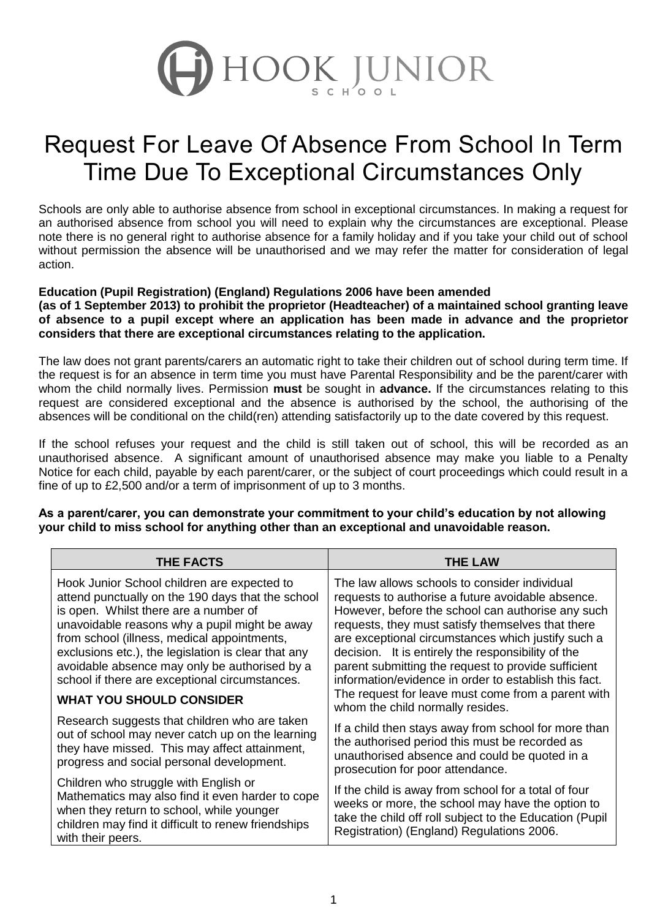

## Request For Leave Of Absence From School In Term Time Due To Exceptional Circumstances Only

Schools are only able to authorise absence from school in exceptional circumstances. In making a request for an authorised absence from school you will need to explain why the circumstances are exceptional. Please note there is no general right to authorise absence for a family holiday and if you take your child out of school without permission the absence will be unauthorised and we may refer the matter for consideration of legal action.

### **Education (Pupil Registration) (England) Regulations 2006 have been amended**

**(as of 1 September 2013) to prohibit the proprietor (Headteacher) of a maintained school granting leave of absence to a pupil except where an application has been made in advance and the proprietor considers that there are exceptional circumstances relating to the application.**

The law does not grant parents/carers an automatic right to take their children out of school during term time. If the request is for an absence in term time you must have Parental Responsibility and be the parent/carer with whom the child normally lives. Permission **must** be sought in **advance.** If the circumstances relating to this request are considered exceptional and the absence is authorised by the school, the authorising of the absences will be conditional on the child(ren) attending satisfactorily up to the date covered by this request.

If the school refuses your request and the child is still taken out of school, this will be recorded as an unauthorised absence. A significant amount of unauthorised absence may make you liable to a Penalty Notice for each child, payable by each parent/carer, or the subject of court proceedings which could result in a fine of up to £2,500 and/or a term of imprisonment of up to 3 months.

| <b>THE FACTS</b>                                                                                                                                                                                                                                                                                                                                                                                    | <b>THE LAW</b>                                                                                                                                                                                                                                                                                                                                                                                                                           |
|-----------------------------------------------------------------------------------------------------------------------------------------------------------------------------------------------------------------------------------------------------------------------------------------------------------------------------------------------------------------------------------------------------|------------------------------------------------------------------------------------------------------------------------------------------------------------------------------------------------------------------------------------------------------------------------------------------------------------------------------------------------------------------------------------------------------------------------------------------|
| Hook Junior School children are expected to<br>attend punctually on the 190 days that the school<br>is open. Whilst there are a number of<br>unavoidable reasons why a pupil might be away<br>from school (illness, medical appointments,<br>exclusions etc.), the legislation is clear that any<br>avoidable absence may only be authorised by a<br>school if there are exceptional circumstances. | The law allows schools to consider individual<br>requests to authorise a future avoidable absence.<br>However, before the school can authorise any such<br>requests, they must satisfy themselves that there<br>are exceptional circumstances which justify such a<br>decision. It is entirely the responsibility of the<br>parent submitting the request to provide sufficient<br>information/evidence in order to establish this fact. |
| <b>WHAT YOU SHOULD CONSIDER</b>                                                                                                                                                                                                                                                                                                                                                                     | The request for leave must come from a parent with<br>whom the child normally resides.                                                                                                                                                                                                                                                                                                                                                   |
| Research suggests that children who are taken<br>out of school may never catch up on the learning<br>they have missed. This may affect attainment,<br>progress and social personal development.                                                                                                                                                                                                     | If a child then stays away from school for more than<br>the authorised period this must be recorded as<br>unauthorised absence and could be quoted in a<br>prosecution for poor attendance.                                                                                                                                                                                                                                              |
| Children who struggle with English or<br>Mathematics may also find it even harder to cope<br>when they return to school, while younger<br>children may find it difficult to renew friendships<br>with their peers.                                                                                                                                                                                  | If the child is away from school for a total of four<br>weeks or more, the school may have the option to<br>take the child off roll subject to the Education (Pupil<br>Registration) (England) Regulations 2006.                                                                                                                                                                                                                         |

**As a parent/carer, you can demonstrate your commitment to your child's education by not allowing your child to miss school for anything other than an exceptional and unavoidable reason.**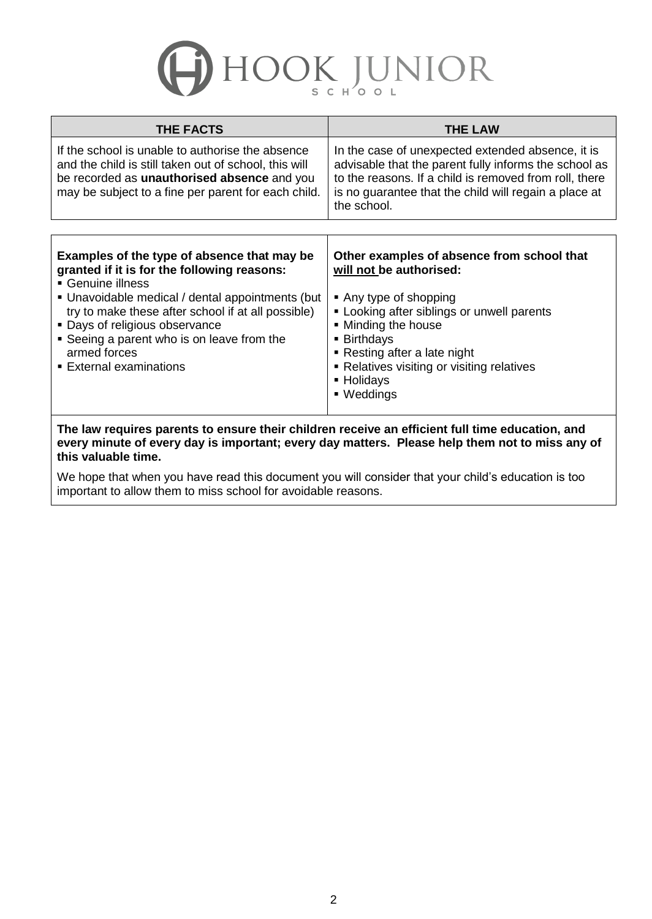# HOOK JUNIOR

| <b>THE LAW</b>                                                                                                                                                                                                                                                                                   |
|--------------------------------------------------------------------------------------------------------------------------------------------------------------------------------------------------------------------------------------------------------------------------------------------------|
| In the case of unexpected extended absence, it is<br>advisable that the parent fully informs the school as<br>to the reasons. If a child is removed from roll, there<br>is no guarantee that the child will regain a place at<br>the school.                                                     |
|                                                                                                                                                                                                                                                                                                  |
| Other examples of absence from school that<br>will not be authorised:<br>Any type of shopping<br>• Looking after siblings or unwell parents<br>• Minding the house<br><b>Birthdays</b><br>• Resting after a late night<br>• Relatives visiting or visiting relatives<br>■ Holidays<br>■ Weddings |
|                                                                                                                                                                                                                                                                                                  |

**The law requires parents to ensure their children receive an efficient full time education, and every minute of every day is important; every day matters. Please help them not to miss any of this valuable time.**

We hope that when you have read this document you will consider that your child's education is too important to allow them to miss school for avoidable reasons.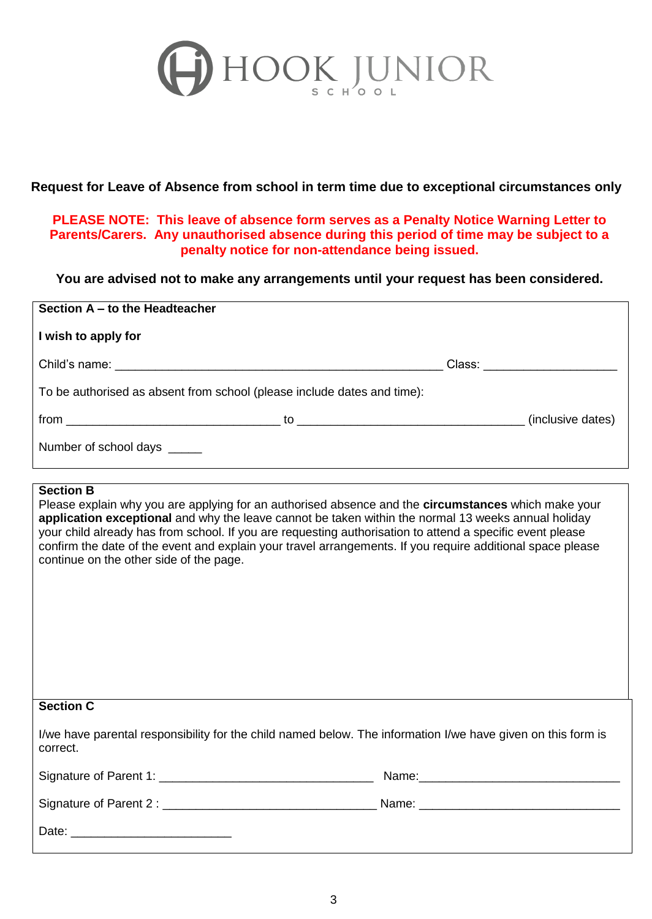

### **Request for Leave of Absence from school in term time due to exceptional circumstances only**

**PLEASE NOTE: This leave of absence form serves as a Penalty Notice Warning Letter to Parents/Carers. Any unauthorised absence during this period of time may be subject to a penalty notice for non-attendance being issued.**

**You are advised not to make any arrangements until your request has been considered.**

| Section A - to the Headteacher                                          |  |  |                              |  |  |
|-------------------------------------------------------------------------|--|--|------------------------------|--|--|
| I wish to apply for                                                     |  |  |                              |  |  |
|                                                                         |  |  | Class: _____________________ |  |  |
| To be authorised as absent from school (please include dates and time): |  |  |                              |  |  |
|                                                                         |  |  | (inclusive dates)            |  |  |
| Number of school days                                                   |  |  |                              |  |  |

#### **Section B**

Please explain why you are applying for an authorised absence and the **circumstances** which make your **application exceptional** and why the leave cannot be taken within the normal 13 weeks annual holiday your child already has from school. If you are requesting authorisation to attend a specific event please confirm the date of the event and explain your travel arrangements. If you require additional space please continue on the other side of the page.

| <b>Section C</b>                                                                                                         |  |  |  |
|--------------------------------------------------------------------------------------------------------------------------|--|--|--|
| I/we have parental responsibility for the child named below. The information I/we have given on this form is<br>correct. |  |  |  |
|                                                                                                                          |  |  |  |
|                                                                                                                          |  |  |  |
|                                                                                                                          |  |  |  |